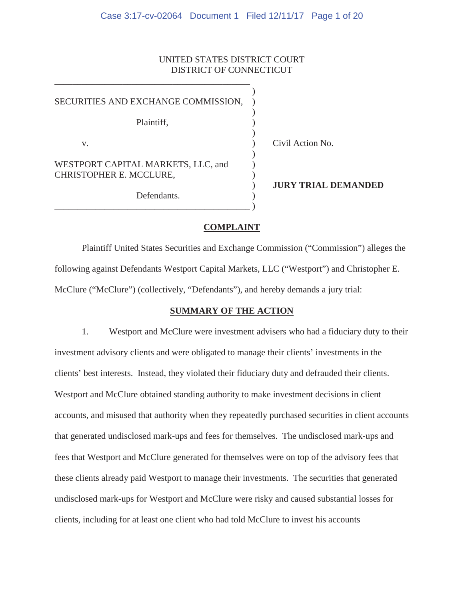# UNITED STATES DISTRICT COURT DISTRICT OF CONNECTICUT

| SECURITIES AND EXCHANGE COMMISSION,                           |                     |
|---------------------------------------------------------------|---------------------|
| Plaintiff,                                                    |                     |
| V.                                                            | Civil Action No.    |
| WESTPORT CAPITAL MARKETS, LLC, and<br>CHRISTOPHER E. MCCLURE, |                     |
| Defendants.                                                   | <b>JURY TRIAL I</b> |
|                                                               |                     |

\_\_\_\_\_\_\_\_\_\_\_\_\_\_\_\_\_\_\_\_\_\_\_\_\_\_\_\_\_\_\_\_\_\_\_\_\_\_\_\_\_\_\_

**L DEMANDED** 

## **COMPLAINT**

Plaintiff United States Securities and Exchange Commission ("Commission") alleges the following against Defendants Westport Capital Markets, LLC ("Westport") and Christopher E. McClure ("McClure") (collectively, "Defendants"), and hereby demands a jury trial:

## **SUMMARY OF THE ACTION**

1. Westport and McClure were investment advisers who had a fiduciary duty to their investment advisory clients and were obligated to manage their clients' investments in the clients' best interests. Instead, they violated their fiduciary duty and defrauded their clients. Westport and McClure obtained standing authority to make investment decisions in client accounts, and misused that authority when they repeatedly purchased securities in client accounts that generated undisclosed mark-ups and fees for themselves. The undisclosed mark-ups and fees that Westport and McClure generated for themselves were on top of the advisory fees that these clients already paid Westport to manage their investments. The securities that generated undisclosed mark-ups for Westport and McClure were risky and caused substantial losses for clients, including for at least one client who had told McClure to invest his accounts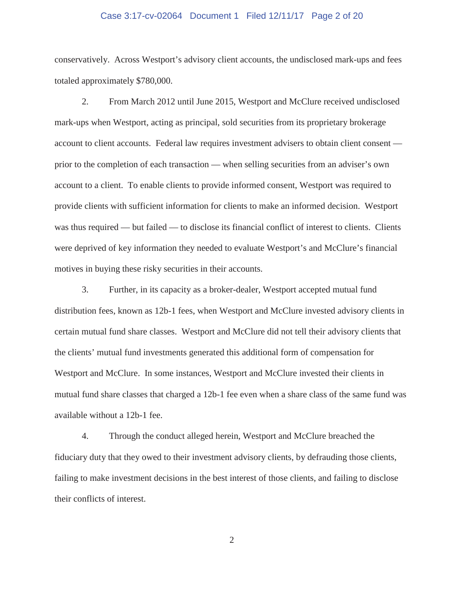### Case 3:17-cv-02064 Document 1 Filed 12/11/17 Page 2 of 20

conservatively. Across Westport's advisory client accounts, the undisclosed mark-ups and fees totaled approximately \$780,000.

2. From March 2012 until June 2015, Westport and McClure received undisclosed mark-ups when Westport, acting as principal, sold securities from its proprietary brokerage account to client accounts. Federal law requires investment advisers to obtain client consent prior to the completion of each transaction — when selling securities from an adviser's own account to a client. To enable clients to provide informed consent, Westport was required to provide clients with sufficient information for clients to make an informed decision. Westport was thus required — but failed — to disclose its financial conflict of interest to clients. Clients were deprived of key information they needed to evaluate Westport's and McClure's financial motives in buying these risky securities in their accounts.

3. Further, in its capacity as a broker-dealer, Westport accepted mutual fund distribution fees, known as 12b-1 fees, when Westport and McClure invested advisory clients in certain mutual fund share classes. Westport and McClure did not tell their advisory clients that the clients' mutual fund investments generated this additional form of compensation for Westport and McClure. In some instances, Westport and McClure invested their clients in mutual fund share classes that charged a 12b-1 fee even when a share class of the same fund was available without a 12b-1 fee.

4. Through the conduct alleged herein, Westport and McClure breached the fiduciary duty that they owed to their investment advisory clients, by defrauding those clients, failing to make investment decisions in the best interest of those clients, and failing to disclose their conflicts of interest.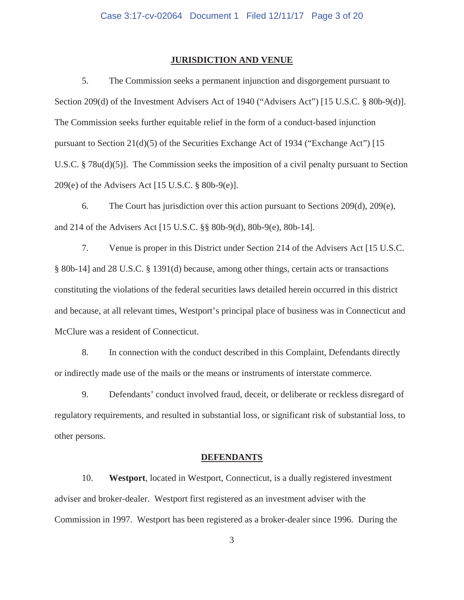### **JURISDICTION AND VENUE**

5. The Commission seeks a permanent injunction and disgorgement pursuant to Section 209(d) of the Investment Advisers Act of 1940 ("Advisers Act") [15 U.S.C. § 80b-9(d)]. The Commission seeks further equitable relief in the form of a conduct-based injunction pursuant to Section 21(d)(5) of the Securities Exchange Act of 1934 ("Exchange Act") [15 U.S.C. § 78u(d)(5)]. The Commission seeks the imposition of a civil penalty pursuant to Section 209(e) of the Advisers Act [15 U.S.C. § 80b-9(e)].

6. The Court has jurisdiction over this action pursuant to Sections 209(d), 209(e), and 214 of the Advisers Act [15 U.S.C. §§ 80b-9(d), 80b-9(e), 80b-14].

7. Venue is proper in this District under Section 214 of the Advisers Act [15 U.S.C. § 80b-14] and 28 U.S.C. § 1391(d) because, among other things, certain acts or transactions constituting the violations of the federal securities laws detailed herein occurred in this district and because, at all relevant times, Westport's principal place of business was in Connecticut and McClure was a resident of Connecticut.

8. In connection with the conduct described in this Complaint, Defendants directly or indirectly made use of the mails or the means or instruments of interstate commerce.

9. Defendants' conduct involved fraud, deceit, or deliberate or reckless disregard of regulatory requirements, and resulted in substantial loss, or significant risk of substantial loss, to other persons.

#### **DEFENDANTS**

10. **Westport**, located in Westport, Connecticut, is a dually registered investment adviser and broker-dealer. Westport first registered as an investment adviser with the Commission in 1997. Westport has been registered as a broker-dealer since 1996. During the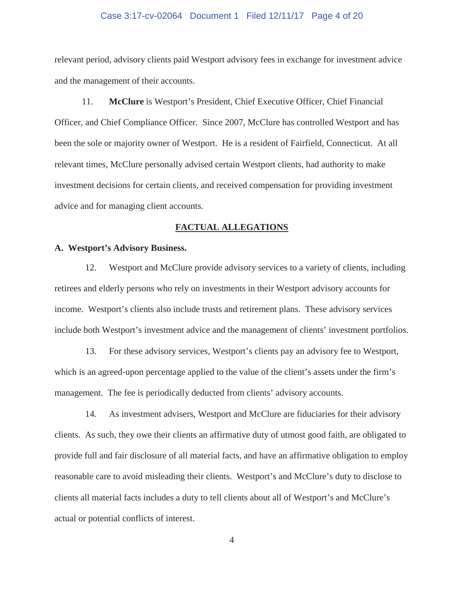### Case 3:17-cv-02064 Document 1 Filed 12/11/17 Page 4 of 20

relevant period, advisory clients paid Westport advisory fees in exchange for investment advice and the management of their accounts.

11. **McClure** is Westport's President, Chief Executive Officer, Chief Financial Officer, and Chief Compliance Officer. Since 2007, McClure has controlled Westport and has been the sole or majority owner of Westport. He is a resident of Fairfield, Connecticut. At all relevant times, McClure personally advised certain Westport clients, had authority to make investment decisions for certain clients, and received compensation for providing investment advice and for managing client accounts.

#### **FACTUAL ALLEGATIONS**

### **A. Westport's Advisory Business.**

12. Westport and McClure provide advisory services to a variety of clients, including retirees and elderly persons who rely on investments in their Westport advisory accounts for income. Westport's clients also include trusts and retirement plans. These advisory services include both Westport's investment advice and the management of clients' investment portfolios.

13. For these advisory services, Westport's clients pay an advisory fee to Westport, which is an agreed-upon percentage applied to the value of the client's assets under the firm's management. The fee is periodically deducted from clients' advisory accounts.

14. As investment advisers, Westport and McClure are fiduciaries for their advisory clients. As such, they owe their clients an affirmative duty of utmost good faith, are obligated to provide full and fair disclosure of all material facts, and have an affirmative obligation to employ reasonable care to avoid misleading their clients. Westport's and McClure's duty to disclose to clients all material facts includes a duty to tell clients about all of Westport's and McClure's actual or potential conflicts of interest.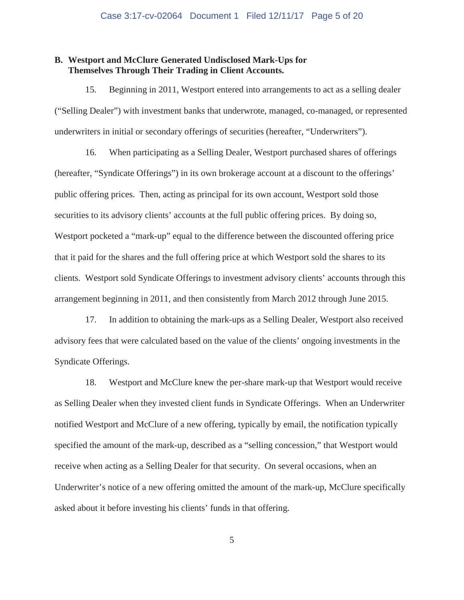## **B. Westport and McClure Generated Undisclosed Mark-Ups for Themselves Through Their Trading in Client Accounts.**

15. Beginning in 2011, Westport entered into arrangements to act as a selling dealer ("Selling Dealer") with investment banks that underwrote, managed, co-managed, or represented underwriters in initial or secondary offerings of securities (hereafter, "Underwriters").

16. When participating as a Selling Dealer, Westport purchased shares of offerings (hereafter, "Syndicate Offerings") in its own brokerage account at a discount to the offerings' public offering prices. Then, acting as principal for its own account, Westport sold those securities to its advisory clients' accounts at the full public offering prices. By doing so, Westport pocketed a "mark-up" equal to the difference between the discounted offering price that it paid for the shares and the full offering price at which Westport sold the shares to its clients. Westport sold Syndicate Offerings to investment advisory clients' accounts through this arrangement beginning in 2011, and then consistently from March 2012 through June 2015.

17. In addition to obtaining the mark-ups as a Selling Dealer, Westport also received advisory fees that were calculated based on the value of the clients' ongoing investments in the Syndicate Offerings.

18. Westport and McClure knew the per-share mark-up that Westport would receive as Selling Dealer when they invested client funds in Syndicate Offerings. When an Underwriter notified Westport and McClure of a new offering, typically by email, the notification typically specified the amount of the mark-up, described as a "selling concession," that Westport would receive when acting as a Selling Dealer for that security. On several occasions, when an Underwriter's notice of a new offering omitted the amount of the mark-up, McClure specifically asked about it before investing his clients' funds in that offering.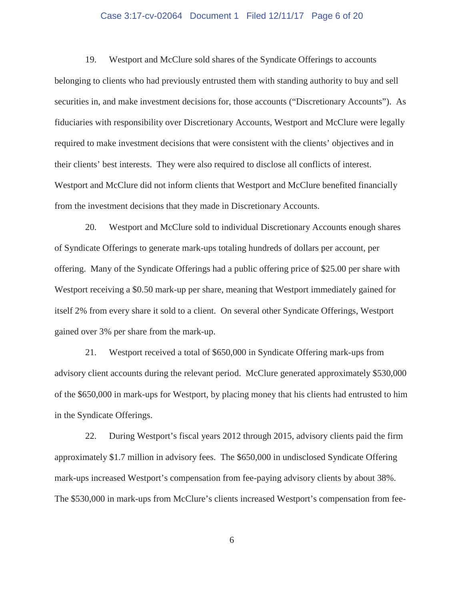### Case 3:17-cv-02064 Document 1 Filed 12/11/17 Page 6 of 20

19. Westport and McClure sold shares of the Syndicate Offerings to accounts belonging to clients who had previously entrusted them with standing authority to buy and sell securities in, and make investment decisions for, those accounts ("Discretionary Accounts"). As fiduciaries with responsibility over Discretionary Accounts, Westport and McClure were legally required to make investment decisions that were consistent with the clients' objectives and in their clients' best interests. They were also required to disclose all conflicts of interest. Westport and McClure did not inform clients that Westport and McClure benefited financially from the investment decisions that they made in Discretionary Accounts.

20. Westport and McClure sold to individual Discretionary Accounts enough shares of Syndicate Offerings to generate mark-ups totaling hundreds of dollars per account, per offering. Many of the Syndicate Offerings had a public offering price of \$25.00 per share with Westport receiving a \$0.50 mark-up per share, meaning that Westport immediately gained for itself 2% from every share it sold to a client. On several other Syndicate Offerings, Westport gained over 3% per share from the mark-up.

21. Westport received a total of \$650,000 in Syndicate Offering mark-ups from advisory client accounts during the relevant period. McClure generated approximately \$530,000 of the \$650,000 in mark-ups for Westport, by placing money that his clients had entrusted to him in the Syndicate Offerings.

22. During Westport's fiscal years 2012 through 2015, advisory clients paid the firm approximately \$1.7 million in advisory fees. The \$650,000 in undisclosed Syndicate Offering mark-ups increased Westport's compensation from fee-paying advisory clients by about 38%. The \$530,000 in mark-ups from McClure's clients increased Westport's compensation from fee-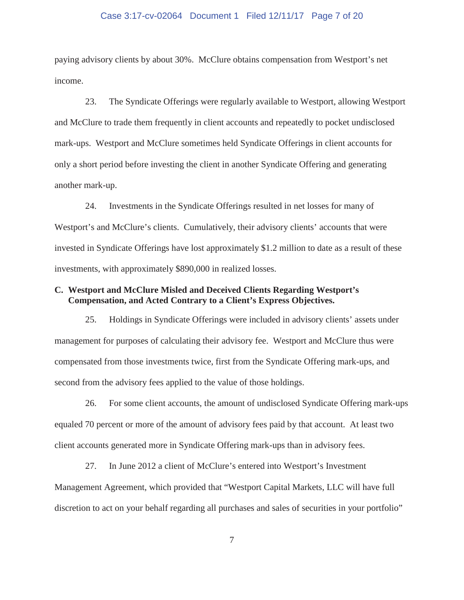### Case 3:17-cv-02064 Document 1 Filed 12/11/17 Page 7 of 20

paying advisory clients by about 30%. McClure obtains compensation from Westport's net income.

23. The Syndicate Offerings were regularly available to Westport, allowing Westport and McClure to trade them frequently in client accounts and repeatedly to pocket undisclosed mark-ups. Westport and McClure sometimes held Syndicate Offerings in client accounts for only a short period before investing the client in another Syndicate Offering and generating another mark-up.

24. Investments in the Syndicate Offerings resulted in net losses for many of Westport's and McClure's clients. Cumulatively, their advisory clients' accounts that were invested in Syndicate Offerings have lost approximately \$1.2 million to date as a result of these investments, with approximately \$890,000 in realized losses.

## **C. Westport and McClure Misled and Deceived Clients Regarding Westport's Compensation, and Acted Contrary to a Client's Express Objectives.**

25. Holdings in Syndicate Offerings were included in advisory clients' assets under management for purposes of calculating their advisory fee. Westport and McClure thus were compensated from those investments twice, first from the Syndicate Offering mark-ups, and second from the advisory fees applied to the value of those holdings.

26. For some client accounts, the amount of undisclosed Syndicate Offering mark-ups equaled 70 percent or more of the amount of advisory fees paid by that account. At least two client accounts generated more in Syndicate Offering mark-ups than in advisory fees.

27. In June 2012 a client of McClure's entered into Westport's Investment Management Agreement, which provided that "Westport Capital Markets, LLC will have full discretion to act on your behalf regarding all purchases and sales of securities in your portfolio"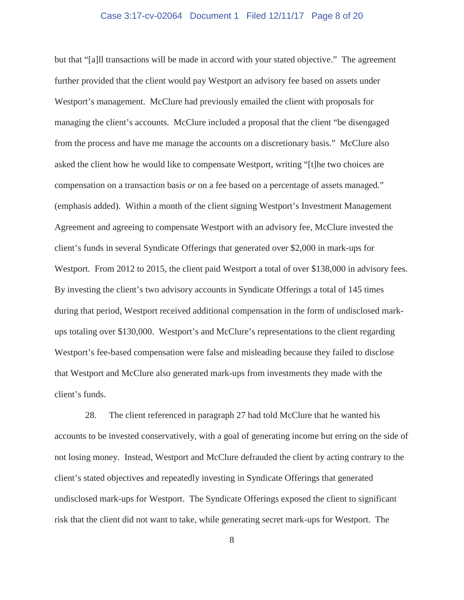### Case 3:17-cv-02064 Document 1 Filed 12/11/17 Page 8 of 20

but that "[a]ll transactions will be made in accord with your stated objective." The agreement further provided that the client would pay Westport an advisory fee based on assets under Westport's management. McClure had previously emailed the client with proposals for managing the client's accounts. McClure included a proposal that the client "be disengaged from the process and have me manage the accounts on a discretionary basis." McClure also asked the client how he would like to compensate Westport, writing "[t]he two choices are compensation on a transaction basis *or* on a fee based on a percentage of assets managed." (emphasis added). Within a month of the client signing Westport's Investment Management Agreement and agreeing to compensate Westport with an advisory fee, McClure invested the client's funds in several Syndicate Offerings that generated over \$2,000 in mark-ups for Westport. From 2012 to 2015, the client paid Westport a total of over \$138,000 in advisory fees. By investing the client's two advisory accounts in Syndicate Offerings a total of 145 times during that period, Westport received additional compensation in the form of undisclosed markups totaling over \$130,000. Westport's and McClure's representations to the client regarding Westport's fee-based compensation were false and misleading because they failed to disclose that Westport and McClure also generated mark-ups from investments they made with the client's funds.

28. The client referenced in paragraph 27 had told McClure that he wanted his accounts to be invested conservatively, with a goal of generating income but erring on the side of not losing money. Instead, Westport and McClure defrauded the client by acting contrary to the client's stated objectives and repeatedly investing in Syndicate Offerings that generated undisclosed mark-ups for Westport. The Syndicate Offerings exposed the client to significant risk that the client did not want to take, while generating secret mark-ups for Westport. The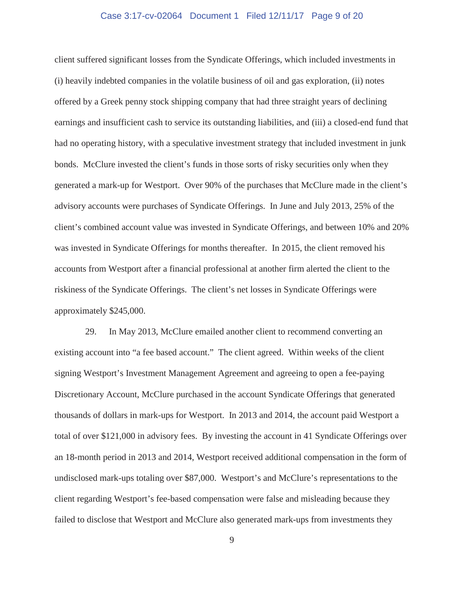### Case 3:17-cv-02064 Document 1 Filed 12/11/17 Page 9 of 20

client suffered significant losses from the Syndicate Offerings, which included investments in (i) heavily indebted companies in the volatile business of oil and gas exploration, (ii) notes offered by a Greek penny stock shipping company that had three straight years of declining earnings and insufficient cash to service its outstanding liabilities, and (iii) a closed-end fund that had no operating history, with a speculative investment strategy that included investment in junk bonds. McClure invested the client's funds in those sorts of risky securities only when they generated a mark-up for Westport. Over 90% of the purchases that McClure made in the client's advisory accounts were purchases of Syndicate Offerings. In June and July 2013, 25% of the client's combined account value was invested in Syndicate Offerings, and between 10% and 20% was invested in Syndicate Offerings for months thereafter. In 2015, the client removed his accounts from Westport after a financial professional at another firm alerted the client to the riskiness of the Syndicate Offerings. The client's net losses in Syndicate Offerings were approximately \$245,000.

29. In May 2013, McClure emailed another client to recommend converting an existing account into "a fee based account." The client agreed. Within weeks of the client signing Westport's Investment Management Agreement and agreeing to open a fee-paying Discretionary Account, McClure purchased in the account Syndicate Offerings that generated thousands of dollars in mark-ups for Westport. In 2013 and 2014, the account paid Westport a total of over \$121,000 in advisory fees. By investing the account in 41 Syndicate Offerings over an 18-month period in 2013 and 2014, Westport received additional compensation in the form of undisclosed mark-ups totaling over \$87,000. Westport's and McClure's representations to the client regarding Westport's fee-based compensation were false and misleading because they failed to disclose that Westport and McClure also generated mark-ups from investments they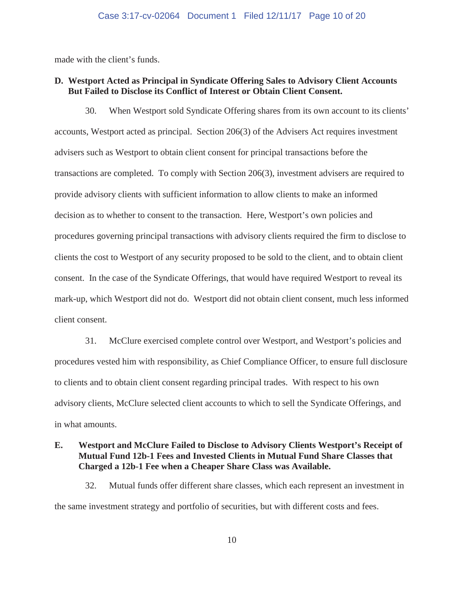made with the client's funds.

## **D. Westport Acted as Principal in Syndicate Offering Sales to Advisory Client Accounts But Failed to Disclose its Conflict of Interest or Obtain Client Consent.**

30. When Westport sold Syndicate Offering shares from its own account to its clients' accounts, Westport acted as principal. Section 206(3) of the Advisers Act requires investment advisers such as Westport to obtain client consent for principal transactions before the transactions are completed. To comply with Section 206(3), investment advisers are required to provide advisory clients with sufficient information to allow clients to make an informed decision as to whether to consent to the transaction. Here, Westport's own policies and procedures governing principal transactions with advisory clients required the firm to disclose to clients the cost to Westport of any security proposed to be sold to the client, and to obtain client consent. In the case of the Syndicate Offerings, that would have required Westport to reveal its mark-up, which Westport did not do. Westport did not obtain client consent, much less informed client consent.

31. McClure exercised complete control over Westport, and Westport's policies and procedures vested him with responsibility, as Chief Compliance Officer, to ensure full disclosure to clients and to obtain client consent regarding principal trades. With respect to his own advisory clients, McClure selected client accounts to which to sell the Syndicate Offerings, and in what amounts.

# **E. Westport and McClure Failed to Disclose to Advisory Clients Westport's Receipt of Mutual Fund 12b-1 Fees and Invested Clients in Mutual Fund Share Classes that Charged a 12b-1 Fee when a Cheaper Share Class was Available.**

32. Mutual funds offer different share classes, which each represent an investment in the same investment strategy and portfolio of securities, but with different costs and fees.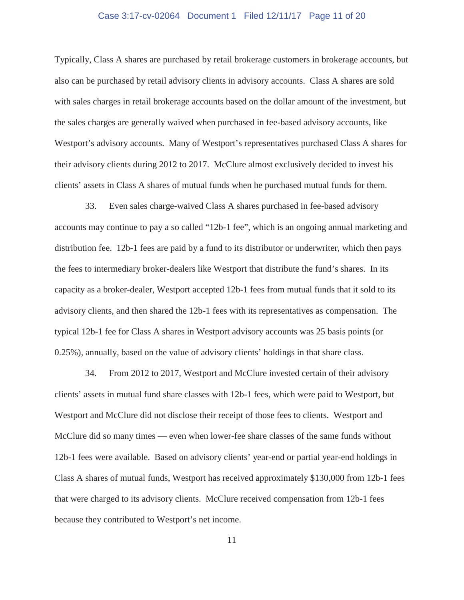### Case 3:17-cv-02064 Document 1 Filed 12/11/17 Page 11 of 20

Typically, Class A shares are purchased by retail brokerage customers in brokerage accounts, but also can be purchased by retail advisory clients in advisory accounts. Class A shares are sold with sales charges in retail brokerage accounts based on the dollar amount of the investment, but the sales charges are generally waived when purchased in fee-based advisory accounts, like Westport's advisory accounts. Many of Westport's representatives purchased Class A shares for their advisory clients during 2012 to 2017. McClure almost exclusively decided to invest his clients' assets in Class A shares of mutual funds when he purchased mutual funds for them.

33. Even sales charge-waived Class A shares purchased in fee-based advisory accounts may continue to pay a so called "12b-1 fee", which is an ongoing annual marketing and distribution fee. 12b-1 fees are paid by a fund to its distributor or underwriter, which then pays the fees to intermediary broker-dealers like Westport that distribute the fund's shares. In its capacity as a broker-dealer, Westport accepted 12b-1 fees from mutual funds that it sold to its advisory clients, and then shared the 12b-1 fees with its representatives as compensation. The typical 12b-1 fee for Class A shares in Westport advisory accounts was 25 basis points (or 0.25%), annually, based on the value of advisory clients' holdings in that share class.

34. From 2012 to 2017, Westport and McClure invested certain of their advisory clients' assets in mutual fund share classes with 12b-1 fees, which were paid to Westport, but Westport and McClure did not disclose their receipt of those fees to clients. Westport and McClure did so many times — even when lower-fee share classes of the same funds without 12b-1 fees were available. Based on advisory clients' year-end or partial year-end holdings in Class A shares of mutual funds, Westport has received approximately \$130,000 from 12b-1 fees that were charged to its advisory clients. McClure received compensation from 12b-1 fees because they contributed to Westport's net income.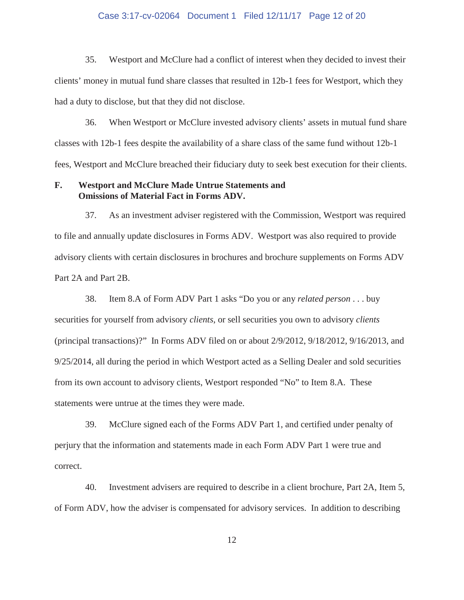#### Case 3:17-cv-02064 Document 1 Filed 12/11/17 Page 12 of 20

35. Westport and McClure had a conflict of interest when they decided to invest their clients' money in mutual fund share classes that resulted in 12b-1 fees for Westport, which they had a duty to disclose, but that they did not disclose.

36. When Westport or McClure invested advisory clients' assets in mutual fund share classes with 12b-1 fees despite the availability of a share class of the same fund without 12b-1 fees, Westport and McClure breached their fiduciary duty to seek best execution for their clients.

## **F. Westport and McClure Made Untrue Statements and Omissions of Material Fact in Forms ADV.**

37. As an investment adviser registered with the Commission, Westport was required to file and annually update disclosures in Forms ADV. Westport was also required to provide advisory clients with certain disclosures in brochures and brochure supplements on Forms ADV Part 2A and Part 2B.

38. Item 8.A of Form ADV Part 1 asks "Do you or any *related person* . . . buy securities for yourself from advisory *clients*, or sell securities you own to advisory *clients*  (principal transactions)?" In Forms ADV filed on or about 2/9/2012, 9/18/2012, 9/16/2013, and 9/25/2014, all during the period in which Westport acted as a Selling Dealer and sold securities from its own account to advisory clients, Westport responded "No" to Item 8.A. These statements were untrue at the times they were made.

39. McClure signed each of the Forms ADV Part 1, and certified under penalty of perjury that the information and statements made in each Form ADV Part 1 were true and correct.

40. Investment advisers are required to describe in a client brochure, Part 2A, Item 5, of Form ADV, how the adviser is compensated for advisory services. In addition to describing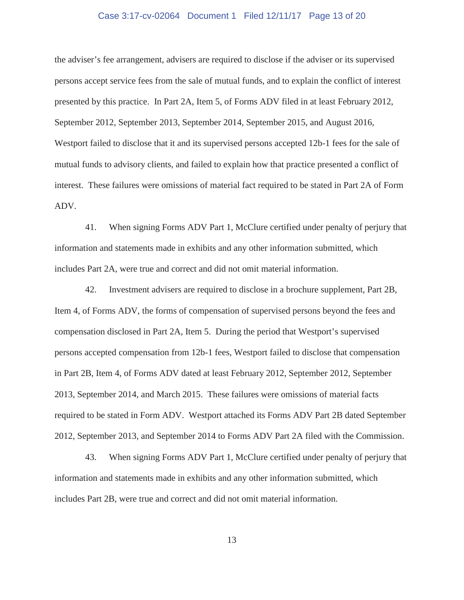### Case 3:17-cv-02064 Document 1 Filed 12/11/17 Page 13 of 20

the adviser's fee arrangement, advisers are required to disclose if the adviser or its supervised persons accept service fees from the sale of mutual funds, and to explain the conflict of interest presented by this practice. In Part 2A, Item 5, of Forms ADV filed in at least February 2012, September 2012, September 2013, September 2014, September 2015, and August 2016, Westport failed to disclose that it and its supervised persons accepted 12b-1 fees for the sale of mutual funds to advisory clients, and failed to explain how that practice presented a conflict of interest. These failures were omissions of material fact required to be stated in Part 2A of Form ADV.

41. When signing Forms ADV Part 1, McClure certified under penalty of perjury that information and statements made in exhibits and any other information submitted, which includes Part 2A, were true and correct and did not omit material information.

42. Investment advisers are required to disclose in a brochure supplement, Part 2B, Item 4, of Forms ADV, the forms of compensation of supervised persons beyond the fees and compensation disclosed in Part 2A, Item 5. During the period that Westport's supervised persons accepted compensation from 12b-1 fees, Westport failed to disclose that compensation in Part 2B, Item 4, of Forms ADV dated at least February 2012, September 2012, September 2013, September 2014, and March 2015. These failures were omissions of material facts required to be stated in Form ADV. Westport attached its Forms ADV Part 2B dated September 2012, September 2013, and September 2014 to Forms ADV Part 2A filed with the Commission.

43. When signing Forms ADV Part 1, McClure certified under penalty of perjury that information and statements made in exhibits and any other information submitted, which includes Part 2B, were true and correct and did not omit material information.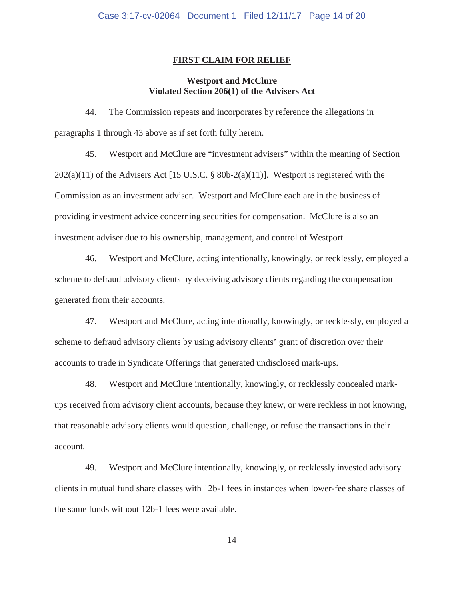### **FIRST CLAIM FOR RELIEF**

# **Westport and McClure Violated Section 206(1) of the Advisers Act**

44. The Commission repeats and incorporates by reference the allegations in paragraphs 1 through 43 above as if set forth fully herein.

45. Westport and McClure are "investment advisers" within the meaning of Section  $202(a)(11)$  of the Advisers Act [15 U.S.C. § 80b-2(a)(11)]. Westport is registered with the Commission as an investment adviser. Westport and McClure each are in the business of providing investment advice concerning securities for compensation. McClure is also an investment adviser due to his ownership, management, and control of Westport.

46. Westport and McClure, acting intentionally, knowingly, or recklessly, employed a scheme to defraud advisory clients by deceiving advisory clients regarding the compensation generated from their accounts.

47. Westport and McClure, acting intentionally, knowingly, or recklessly, employed a scheme to defraud advisory clients by using advisory clients' grant of discretion over their accounts to trade in Syndicate Offerings that generated undisclosed mark-ups.

48. Westport and McClure intentionally, knowingly, or recklessly concealed markups received from advisory client accounts, because they knew, or were reckless in not knowing, that reasonable advisory clients would question, challenge, or refuse the transactions in their account.

49. Westport and McClure intentionally, knowingly, or recklessly invested advisory clients in mutual fund share classes with 12b-1 fees in instances when lower-fee share classes of the same funds without 12b-1 fees were available.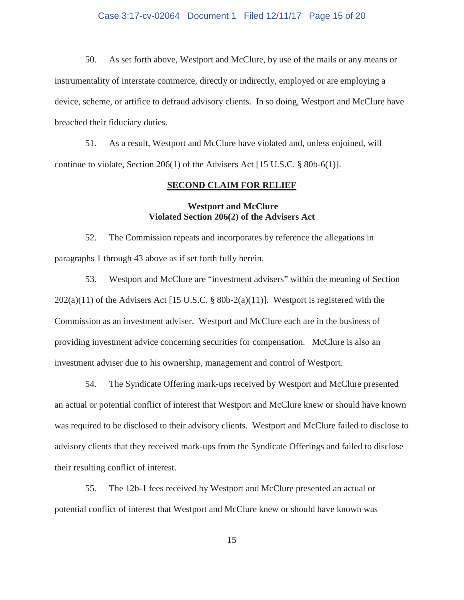### Case 3:17-cv-02064 Document 1 Filed 12/11/17 Page 15 of 20

50. As set forth above, Westport and McClure, by use of the mails or any means or instrumentality of interstate commerce, directly or indirectly, employed or are employing a device, scheme, or artifice to defraud advisory clients. In so doing, Westport and McClure have breached their fiduciary duties.

51. As a result, Westport and McClure have violated and, unless enjoined, will continue to violate, Section 206(1) of the Advisers Act [15 U.S.C. § 80b-6(1)].

### **SECOND CLAIM FOR RELIEF**

# **Westport and McClure Violated Section 206(2) of the Advisers Act**

52. The Commission repeats and incorporates by reference the allegations in paragraphs 1 through 43 above as if set forth fully herein.

53. Westport and McClure are "investment advisers" within the meaning of Section  $202(a)(11)$  of the Advisers Act [15 U.S.C. § 80b-2(a)(11)]. Westport is registered with the Commission as an investment adviser. Westport and McClure each are in the business of providing investment advice concerning securities for compensation. McClure is also an investment adviser due to his ownership, management and control of Westport.

54. The Syndicate Offering mark-ups received by Westport and McClure presented an actual or potential conflict of interest that Westport and McClure knew or should have known was required to be disclosed to their advisory clients. Westport and McClure failed to disclose to advisory clients that they received mark-ups from the Syndicate Offerings and failed to disclose their resulting conflict of interest.

55. The 12b-1 fees received by Westport and McClure presented an actual or potential conflict of interest that Westport and McClure knew or should have known was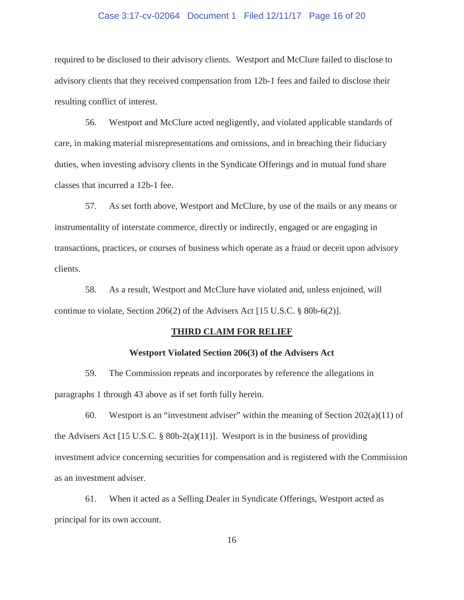### Case 3:17-cv-02064 Document 1 Filed 12/11/17 Page 16 of 20

required to be disclosed to their advisory clients. Westport and McClure failed to disclose to advisory clients that they received compensation from 12b-1 fees and failed to disclose their resulting conflict of interest.

56. Westport and McClure acted negligently, and violated applicable standards of care, in making material misrepresentations and omissions, and in breaching their fiduciary duties, when investing advisory clients in the Syndicate Offerings and in mutual fund share classes that incurred a 12b-1 fee.

57. As set forth above, Westport and McClure, by use of the mails or any means or instrumentality of interstate commerce, directly or indirectly, engaged or are engaging in transactions, practices, or courses of business which operate as a fraud or deceit upon advisory clients.

58. As a result, Westport and McClure have violated and, unless enjoined, will continue to violate, Section 206(2) of the Advisers Act [15 U.S.C. § 80b-6(2)].

#### **THIRD CLAIM FOR RELIEF**

### **Westport Violated Section 206(3) of the Advisers Act**

59. The Commission repeats and incorporates by reference the allegations in paragraphs 1 through 43 above as if set forth fully herein.

60. Westport is an "investment adviser" within the meaning of Section 202(a)(11) of the Advisers Act [15 U.S.C. § 80b-2(a)(11)]. Westport is in the business of providing investment advice concerning securities for compensation and is registered with the Commission as an investment adviser.

61. When it acted as a Selling Dealer in Syndicate Offerings, Westport acted as principal for its own account.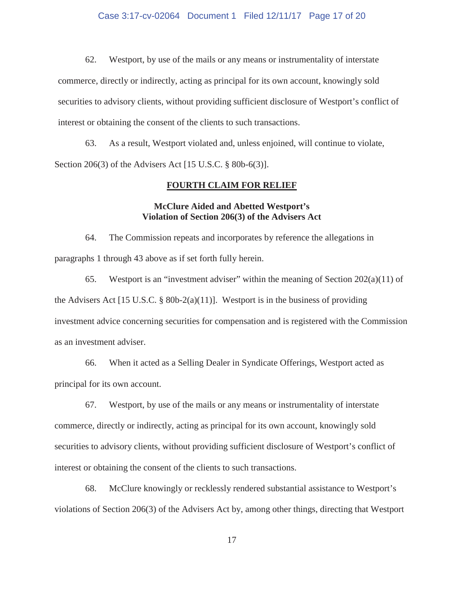### Case 3:17-cv-02064 Document 1 Filed 12/11/17 Page 17 of 20

62. Westport, by use of the mails or any means or instrumentality of interstate commerce, directly or indirectly, acting as principal for its own account, knowingly sold securities to advisory clients, without providing sufficient disclosure of Westport's conflict of interest or obtaining the consent of the clients to such transactions.

63. As a result, Westport violated and, unless enjoined, will continue to violate, Section 206(3) of the Advisers Act [15 U.S.C. § 80b-6(3)].

#### **FOURTH CLAIM FOR RELIEF**

# **McClure Aided and Abetted Westport's Violation of Section 206(3) of the Advisers Act**

64. The Commission repeats and incorporates by reference the allegations in paragraphs 1 through 43 above as if set forth fully herein.

65. Westport is an "investment adviser" within the meaning of Section 202(a)(11) of the Advisers Act [15 U.S.C. § 80b-2(a)(11)]. Westport is in the business of providing investment advice concerning securities for compensation and is registered with the Commission as an investment adviser.

66. When it acted as a Selling Dealer in Syndicate Offerings, Westport acted as principal for its own account.

67. Westport, by use of the mails or any means or instrumentality of interstate commerce, directly or indirectly, acting as principal for its own account, knowingly sold securities to advisory clients, without providing sufficient disclosure of Westport's conflict of interest or obtaining the consent of the clients to such transactions.

68. McClure knowingly or recklessly rendered substantial assistance to Westport's violations of Section 206(3) of the Advisers Act by, among other things, directing that Westport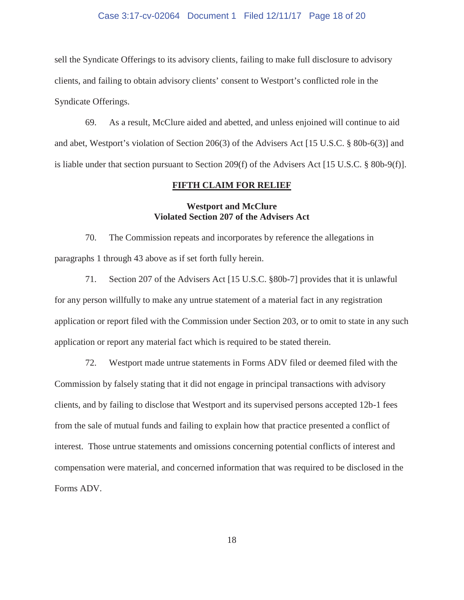### Case 3:17-cv-02064 Document 1 Filed 12/11/17 Page 18 of 20

sell the Syndicate Offerings to its advisory clients, failing to make full disclosure to advisory clients, and failing to obtain advisory clients' consent to Westport's conflicted role in the Syndicate Offerings.

69. As a result, McClure aided and abetted, and unless enjoined will continue to aid and abet, Westport's violation of Section 206(3) of the Advisers Act [15 U.S.C. § 80b-6(3)] and is liable under that section pursuant to Section 209(f) of the Advisers Act [15 U.S.C. § 80b-9(f)].

### **FIFTH CLAIM FOR RELIEF**

# **Westport and McClure Violated Section 207 of the Advisers Act**

70. The Commission repeats and incorporates by reference the allegations in paragraphs 1 through 43 above as if set forth fully herein.

71. Section 207 of the Advisers Act [15 U.S.C. §80b-7] provides that it is unlawful for any person willfully to make any untrue statement of a material fact in any registration application or report filed with the Commission under Section 203, or to omit to state in any such application or report any material fact which is required to be stated therein.

72. Westport made untrue statements in Forms ADV filed or deemed filed with the Commission by falsely stating that it did not engage in principal transactions with advisory clients, and by failing to disclose that Westport and its supervised persons accepted 12b-1 fees from the sale of mutual funds and failing to explain how that practice presented a conflict of interest. Those untrue statements and omissions concerning potential conflicts of interest and compensation were material, and concerned information that was required to be disclosed in the Forms ADV.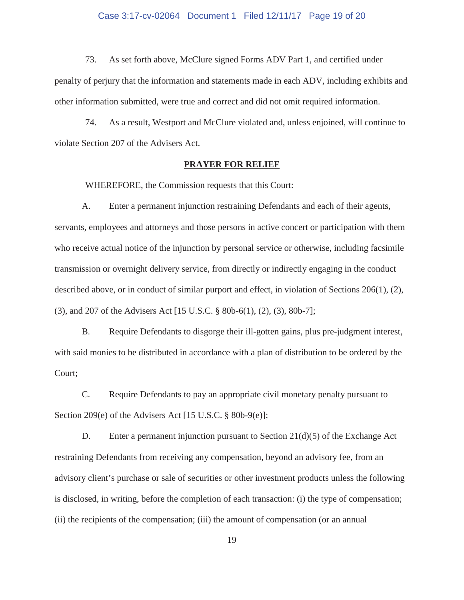#### Case 3:17-cv-02064 Document 1 Filed 12/11/17 Page 19 of 20

73. As set forth above, McClure signed Forms ADV Part 1, and certified under penalty of perjury that the information and statements made in each ADV, including exhibits and other information submitted, were true and correct and did not omit required information.

74. As a result, Westport and McClure violated and, unless enjoined, will continue to violate Section 207 of the Advisers Act.

### **PRAYER FOR RELIEF**

WHEREFORE, the Commission requests that this Court:

A. Enter a permanent injunction restraining Defendants and each of their agents, servants, employees and attorneys and those persons in active concert or participation with them who receive actual notice of the injunction by personal service or otherwise, including facsimile transmission or overnight delivery service, from directly or indirectly engaging in the conduct described above, or in conduct of similar purport and effect, in violation of Sections 206(1), (2), (3), and 207 of the Advisers Act [15 U.S.C. § 80b-6(1), (2), (3), 80b-7];

B. Require Defendants to disgorge their ill-gotten gains, plus pre-judgment interest, with said monies to be distributed in accordance with a plan of distribution to be ordered by the Court;

C. Require Defendants to pay an appropriate civil monetary penalty pursuant to Section 209(e) of the Advisers Act [15 U.S.C. § 80b-9(e)];

D. Enter a permanent injunction pursuant to Section  $21(d)(5)$  of the Exchange Act restraining Defendants from receiving any compensation, beyond an advisory fee, from an advisory client's purchase or sale of securities or other investment products unless the following is disclosed, in writing, before the completion of each transaction: (i) the type of compensation; (ii) the recipients of the compensation; (iii) the amount of compensation (or an annual